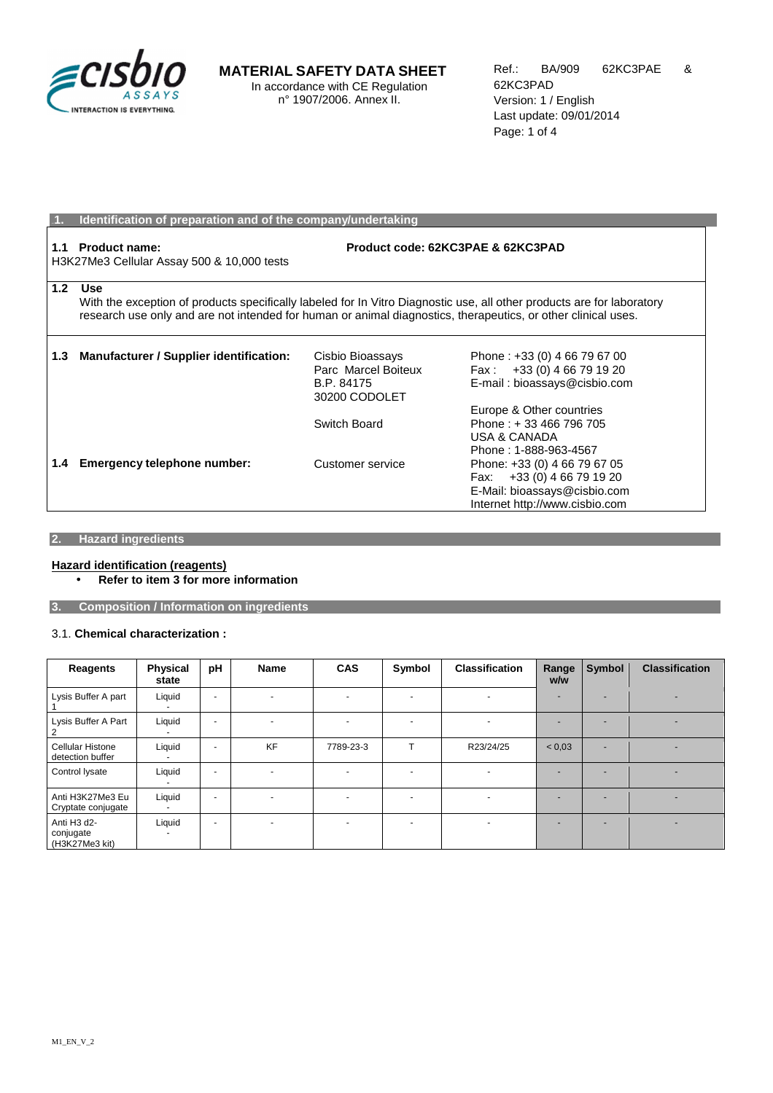

## **MATERIAL SAFETY DATA SHEET**

In accordance with CE Regulation n° 1907/2006. Annex II.

|                  | Identification of preparation and of the company/undertaking                                                                                                                                                                                          |                                                                        |                                                                                                                               |  |  |
|------------------|-------------------------------------------------------------------------------------------------------------------------------------------------------------------------------------------------------------------------------------------------------|------------------------------------------------------------------------|-------------------------------------------------------------------------------------------------------------------------------|--|--|
| 1.1              | <b>Product name:</b><br>Product code: 62KC3PAE & 62KC3PAD<br>H3K27Me3 Cellular Assay 500 & 10,000 tests                                                                                                                                               |                                                                        |                                                                                                                               |  |  |
| 1.2 <sub>1</sub> | <b>Use</b><br>With the exception of products specifically labeled for In Vitro Diagnostic use, all other products are for laboratory<br>research use only and are not intended for human or animal diagnostics, therapeutics, or other clinical uses. |                                                                        |                                                                                                                               |  |  |
| 1.3              | <b>Manufacturer / Supplier identification:</b>                                                                                                                                                                                                        | Cisbio Bioassays<br>Parc Marcel Boiteux<br>B.P. 84175<br>30200 CODOLET | Phone: +33 (0) 4 66 79 67 00<br>Fax: $+33(0)$ 4 66 79 19 20<br>E-mail: bioassays@cisbio.com<br>Europe & Other countries       |  |  |
|                  |                                                                                                                                                                                                                                                       | Switch Board                                                           | Phone: +33 466 796 705<br><b>USA &amp; CANADA</b><br>Phone: 1-888-963-4567                                                    |  |  |
| 1.4              | Emergency telephone number:                                                                                                                                                                                                                           | Customer service                                                       | Phone: +33 (0) 4 66 79 67 05<br>Fax: $+33(0)$ 4 66 79 19 20<br>E-Mail: bioassays@cisbio.com<br>Internet http://www.cisbio.com |  |  |

## **2. Hazard ingredients**

### **Hazard identification (reagents)**

• **Refer to item 3 for more information** 

**3. Composition / Information on ingredients** 

### 3.1. **Chemical characterization :**

| Reagents                                                            | <b>Physical</b><br>state | pH                       | <b>Name</b>              | <b>CAS</b>               | Symbol                   | <b>Classification</b>    | Range<br>w/w | Symbol | <b>Classification</b> |
|---------------------------------------------------------------------|--------------------------|--------------------------|--------------------------|--------------------------|--------------------------|--------------------------|--------------|--------|-----------------------|
| Lysis Buffer A part                                                 | Liquid                   | $\overline{\phantom{a}}$ | н.                       | $\sim$                   | $\overline{\phantom{a}}$ |                          |              |        |                       |
| Lysis Buffer A Part                                                 | Liquid                   | $\overline{a}$           | н.                       |                          | $\overline{\phantom{a}}$ |                          |              |        |                       |
| Cellular Histone<br>detection buffer                                | Liquid                   | $\overline{\phantom{a}}$ | <b>KF</b>                | 7789-23-3                | т                        | R23/24/25                | < 0.03       |        |                       |
| Control lysate                                                      | Liquid                   | $\overline{a}$           | $\overline{\phantom{0}}$ | $\overline{a}$           | $\overline{\phantom{a}}$ | $\overline{\phantom{a}}$ |              |        |                       |
| Anti H3K27Me3 Eu<br>Cryptate conjugate                              | Liquid                   | $\overline{a}$           | ٠                        | $\overline{\phantom{0}}$ | $\overline{\phantom{0}}$ | $\overline{\phantom{0}}$ |              |        |                       |
| Anti H <sub>3</sub> d <sub>2</sub> -<br>conjugate<br>(H3K27Me3 kit) | Liquid                   | $\overline{a}$           | ٠                        | $\overline{\phantom{0}}$ | $\overline{\phantom{a}}$ | ٠                        |              |        |                       |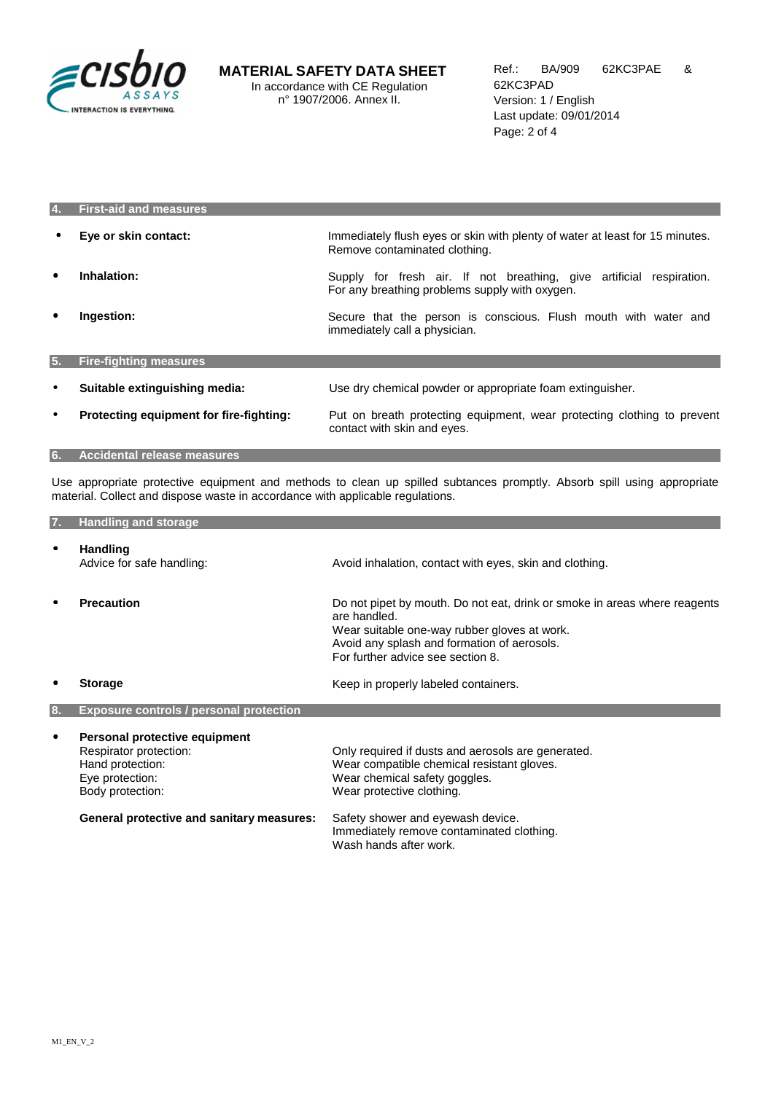

| 4.        | <b>First-aid and measures</b>           |                                                                                                                        |
|-----------|-----------------------------------------|------------------------------------------------------------------------------------------------------------------------|
| $\bullet$ | Eye or skin contact:                    | Immediately flush eyes or skin with plenty of water at least for 15 minutes.<br>Remove contaminated clothing.          |
| ٠         | Inhalation:                             | Supply for fresh air. If not breathing, give artificial respiration.<br>For any breathing problems supply with oxygen. |
| $\bullet$ | Ingestion:                              | Secure that the person is conscious. Flush mouth with water and<br>immediately call a physician.                       |
| 5.        | <b>Fire-fighting measures</b>           |                                                                                                                        |
| $\bullet$ | Suitable extinguishing media:           | Use dry chemical powder or appropriate foam extinguisher.                                                              |
| $\bullet$ | Protecting equipment for fire-fighting: | Put on breath protecting equipment, wear protecting clothing to prevent<br>contact with skin and eyes.                 |

**6. Accidental release measures** 

Use appropriate protective equipment and methods to clean up spilled subtances promptly. Absorb spill using appropriate material. Collect and dispose waste in accordance with applicable regulations.

| 7. | <b>Handling and storage</b>                                                                                                                                            |                                                                                                                                                                                                                                                  |
|----|------------------------------------------------------------------------------------------------------------------------------------------------------------------------|--------------------------------------------------------------------------------------------------------------------------------------------------------------------------------------------------------------------------------------------------|
| ٠  | <b>Handling</b><br>Advice for safe handling:                                                                                                                           | Avoid inhalation, contact with eyes, skin and clothing.                                                                                                                                                                                          |
|    | <b>Precaution</b>                                                                                                                                                      | Do not pipet by mouth. Do not eat, drink or smoke in areas where reagents<br>are handled.<br>Wear suitable one-way rubber gloves at work.<br>Avoid any splash and formation of aerosols.<br>For further advice see section 8.                    |
|    | <b>Storage</b>                                                                                                                                                         | Keep in properly labeled containers.                                                                                                                                                                                                             |
| 8. | <b>Exposure controls / personal protection</b>                                                                                                                         |                                                                                                                                                                                                                                                  |
| ٠  | Personal protective equipment<br>Respirator protection:<br>Hand protection:<br>Eye protection:<br>Body protection:<br><b>General protective and sanitary measures:</b> | Only required if dusts and aerosols are generated.<br>Wear compatible chemical resistant gloves.<br>Wear chemical safety goggles.<br>Wear protective clothing.<br>Safety shower and eyewash device.<br>Immediately remove contaminated clothing. |
|    |                                                                                                                                                                        | Wash hands after work.                                                                                                                                                                                                                           |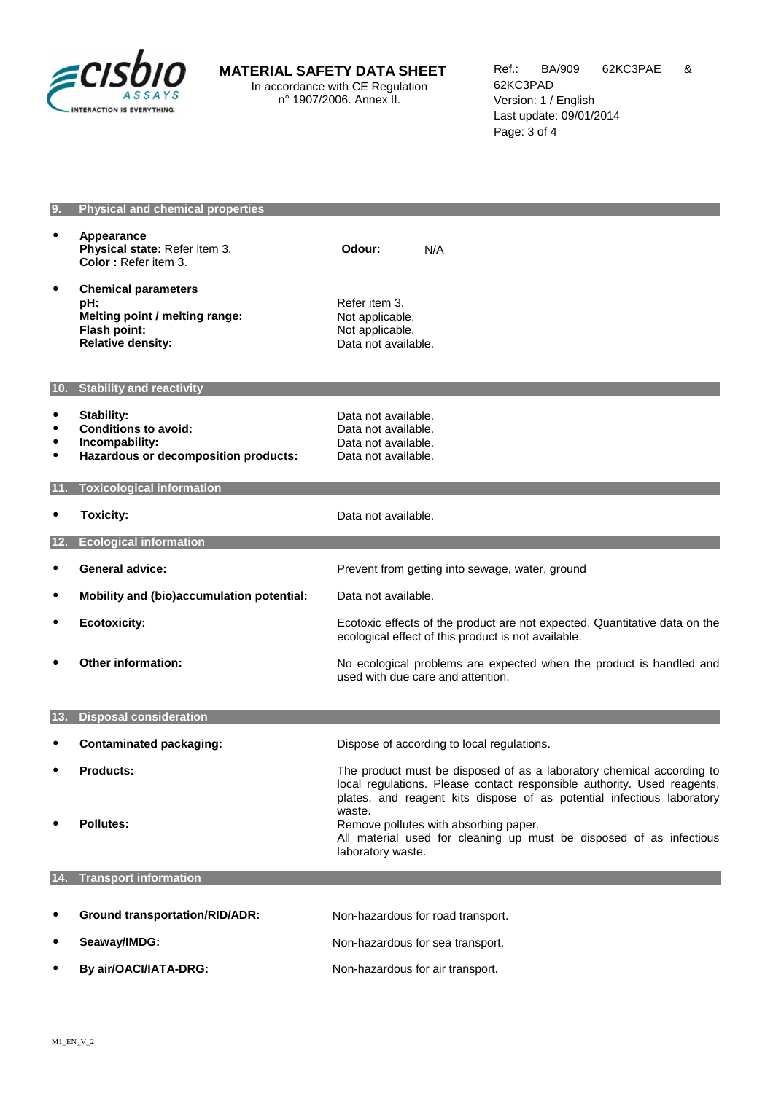

# **MATERIAL SAFETY DATA SHEET**

In accordance with CE Regulation n° 1907/2006. Annex II.

### **9. Physical and chemical properties**

|                              | Appearance<br>Physical state: Refer item 3.<br>Color: Refer item 3.                                             | Odour:<br>N/A                                                                                                                                                                                                                        |  |  |
|------------------------------|-----------------------------------------------------------------------------------------------------------------|--------------------------------------------------------------------------------------------------------------------------------------------------------------------------------------------------------------------------------------|--|--|
|                              | <b>Chemical parameters</b><br>pH:<br>Melting point / melting range:<br>Flash point:<br><b>Relative density:</b> | Refer item 3.<br>Not applicable.<br>Not applicable.<br>Data not available.                                                                                                                                                           |  |  |
| 10 <sub>1</sub>              | <b>Stability and reactivity</b>                                                                                 |                                                                                                                                                                                                                                      |  |  |
| $\bullet$<br>٠               | <b>Stability:</b><br><b>Conditions to avoid:</b><br>Incompability:<br>Hazardous or decomposition products:      | Data not available.<br>Data not available.<br>Data not available.<br>Data not available.                                                                                                                                             |  |  |
|                              | <b>Toxicological information</b>                                                                                |                                                                                                                                                                                                                                      |  |  |
|                              | <b>Toxicity:</b>                                                                                                | Data not available.                                                                                                                                                                                                                  |  |  |
|                              | <b>Ecological information</b>                                                                                   |                                                                                                                                                                                                                                      |  |  |
|                              | <b>General advice:</b>                                                                                          | Prevent from getting into sewage, water, ground                                                                                                                                                                                      |  |  |
|                              | Mobility and (bio)accumulation potential:                                                                       | Data not available.                                                                                                                                                                                                                  |  |  |
|                              | <b>Ecotoxicity:</b>                                                                                             | Ecotoxic effects of the product are not expected. Quantitative data on the<br>ecological effect of this product is not available.                                                                                                    |  |  |
|                              | <b>Other information:</b>                                                                                       | No ecological problems are expected when the product is handled and<br>used with due care and attention.                                                                                                                             |  |  |
| 13.                          | <b>Disposal consideration</b>                                                                                   |                                                                                                                                                                                                                                      |  |  |
|                              | <b>Contaminated packaging:</b>                                                                                  | Dispose of according to local regulations.                                                                                                                                                                                           |  |  |
|                              | <b>Products:</b>                                                                                                |                                                                                                                                                                                                                                      |  |  |
|                              |                                                                                                                 | The product must be disposed of as a laboratory chemical according to<br>local regulations. Please contact responsible authority. Used reagents,<br>plates, and reagent kits dispose of as potential infectious laboratory<br>waste. |  |  |
|                              | <b>Pollutes:</b>                                                                                                | Remove pollutes with absorbing paper.<br>All material used for cleaning up must be disposed of as infectious<br>laboratory waste.                                                                                                    |  |  |
| <b>Transport information</b> |                                                                                                                 |                                                                                                                                                                                                                                      |  |  |
|                              |                                                                                                                 |                                                                                                                                                                                                                                      |  |  |
|                              | <b>Ground transportation/RID/ADR:</b>                                                                           | Non-hazardous for road transport.                                                                                                                                                                                                    |  |  |
|                              | Seaway/IMDG:                                                                                                    | Non-hazardous for sea transport.                                                                                                                                                                                                     |  |  |

**• By air/OACI/IATA-DRG:** Non-hazardous for air transport.